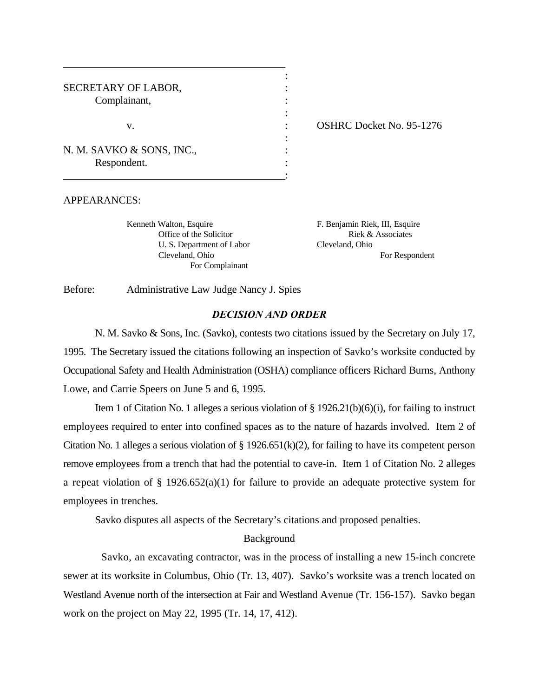| SECRETARY OF LABOR,<br>Complainant,      |  |
|------------------------------------------|--|
| V.                                       |  |
| N. M. SAVKO & SONS, INC.,<br>Respondent. |  |
|                                          |  |

: OSHRC Docket No. 95-1276

#### APPEARANCES:

Kenneth Walton, Esquire F. Benjamin Riek, III, Esquire U. S. Department of Labor Cleveland, Ohio For Complainant

Office of the Solicitor Riek & Associates Cleveland, Ohio For Respondent

Before: Administrative Law Judge Nancy J. Spies

# *DECISION AND ORDER*

:

N. M. Savko & Sons, Inc. (Savko), contests two citations issued by the Secretary on July 17, 1995. The Secretary issued the citations following an inspection of Savko's worksite conducted by Occupational Safety and Health Administration (OSHA) compliance officers Richard Burns, Anthony Lowe, and Carrie Speers on June 5 and 6, 1995.

Item 1 of Citation No. 1 alleges a serious violation of  $\S$  1926.21(b)(6)(i), for failing to instruct employees required to enter into confined spaces as to the nature of hazards involved. Item 2 of Citation No. 1 alleges a serious violation of  $\S 1926.651(k)(2)$ , for failing to have its competent person remove employees from a trench that had the potential to cave-in. Item 1 of Citation No. 2 alleges a repeat violation of § 1926.652(a)(1) for failure to provide an adequate protective system for employees in trenches.

Savko disputes all aspects of the Secretary's citations and proposed penalties.

#### Background

 Savko, an excavating contractor, was in the process of installing a new 15-inch concrete sewer at its worksite in Columbus, Ohio (Tr. 13, 407). Savko's worksite was a trench located on Westland Avenue north of the intersection at Fair and Westland Avenue (Tr. 156-157). Savko began work on the project on May 22, 1995 (Tr. 14, 17, 412).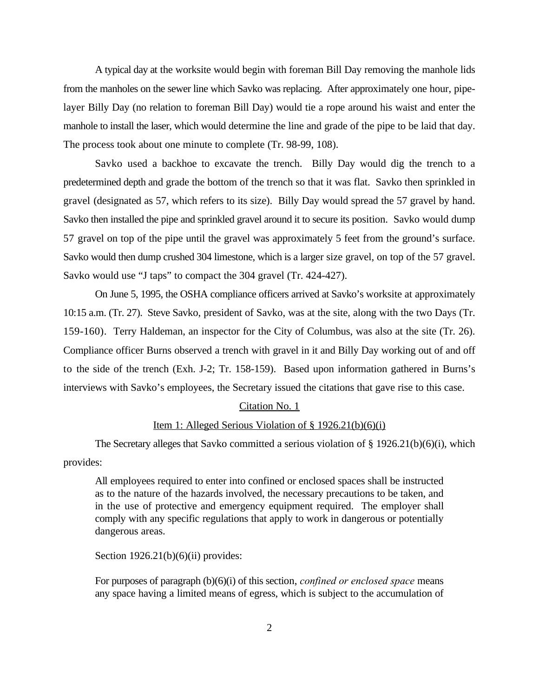A typical day at the worksite would begin with foreman Bill Day removing the manhole lids from the manholes on the sewer line which Savko was replacing. After approximately one hour, pipelayer Billy Day (no relation to foreman Bill Day) would tie a rope around his waist and enter the manhole to install the laser, which would determine the line and grade of the pipe to be laid that day. The process took about one minute to complete (Tr. 98-99, 108).

Savko used a backhoe to excavate the trench. Billy Day would dig the trench to a predetermined depth and grade the bottom of the trench so that it was flat. Savko then sprinkled in gravel (designated as 57, which refers to its size). Billy Day would spread the 57 gravel by hand. Savko then installed the pipe and sprinkled gravel around it to secure its position. Savko would dump 57 gravel on top of the pipe until the gravel was approximately 5 feet from the ground's surface. Savko would then dump crushed 304 limestone, which is a larger size gravel, on top of the 57 gravel. Savko would use "J taps" to compact the 304 gravel (Tr. 424-427).

On June 5, 1995, the OSHA compliance officers arrived at Savko's worksite at approximately 10:15 a.m. (Tr. 27). Steve Savko, president of Savko, was at the site, along with the two Days (Tr. 159-160). Terry Haldeman, an inspector for the City of Columbus, was also at the site (Tr. 26). Compliance officer Burns observed a trench with gravel in it and Billy Day working out of and off to the side of the trench (Exh. J-2; Tr. 158-159). Based upon information gathered in Burns's interviews with Savko's employees, the Secretary issued the citations that gave rise to this case.

#### Citation No. 1

# Item 1: Alleged Serious Violation of § 1926.21(b)(6)(i)

The Secretary alleges that Savko committed a serious violation of  $\S 1926.21(b)(6)(i)$ , which provides:

All employees required to enter into confined or enclosed spaces shall be instructed as to the nature of the hazards involved, the necessary precautions to be taken, and in the use of protective and emergency equipment required. The employer shall comply with any specific regulations that apply to work in dangerous or potentially dangerous areas.

Section  $1926.21(b)(6)(ii)$  provides:

For purposes of paragraph (b)(6)(i) of this section, *confined or enclosed space* means any space having a limited means of egress, which is subject to the accumulation of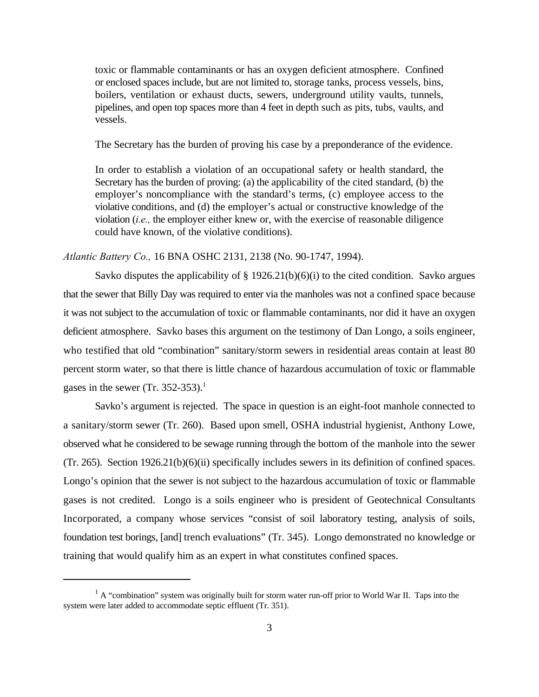toxic or flammable contaminants or has an oxygen deficient atmosphere. Confined or enclosed spaces include, but are not limited to, storage tanks, process vessels, bins, boilers, ventilation or exhaust ducts, sewers, underground utility vaults, tunnels, pipelines, and open top spaces more than 4 feet in depth such as pits, tubs, vaults, and vessels.

The Secretary has the burden of proving his case by a preponderance of the evidence.

In order to establish a violation of an occupational safety or health standard, the Secretary has the burden of proving: (a) the applicability of the cited standard, (b) the employer's noncompliance with the standard's terms, (c) employee access to the violative conditions, and (d) the employer's actual or constructive knowledge of the violation (*i.e.,* the employer either knew or, with the exercise of reasonable diligence could have known, of the violative conditions).

### *Atlantic Battery Co.,* 16 BNA OSHC 2131, 2138 (No. 90-1747, 1994).

Savko disputes the applicability of  $\S 1926.21(b)(6)(i)$  to the cited condition. Savko argues that the sewer that Billy Day was required to enter via the manholes was not a confined space because it was not subject to the accumulation of toxic or flammable contaminants, nor did it have an oxygen deficient atmosphere. Savko bases this argument on the testimony of Dan Longo, a soils engineer, who testified that old "combination" sanitary/storm sewers in residential areas contain at least 80 percent storm water, so that there is little chance of hazardous accumulation of toxic or flammable gases in the sewer (Tr. 352-353).<sup>1</sup>

Savko's argument is rejected. The space in question is an eight-foot manhole connected to a sanitary/storm sewer (Tr. 260). Based upon smell, OSHA industrial hygienist, Anthony Lowe, observed what he considered to be sewage running through the bottom of the manhole into the sewer (Tr. 265). Section 1926.21(b)(6)(ii) specifically includes sewers in its definition of confined spaces. Longo's opinion that the sewer is not subject to the hazardous accumulation of toxic or flammable gases is not credited. Longo is a soils engineer who is president of Geotechnical Consultants Incorporated, a company whose services "consist of soil laboratory testing, analysis of soils, foundation test borings, [and] trench evaluations" (Tr. 345). Longo demonstrated no knowledge or training that would qualify him as an expert in what constitutes confined spaces.

 ${}^{1}$  A "combination" system was originally built for storm water run-off prior to World War II. Taps into the system were later added to accommodate septic effluent (Tr. 351).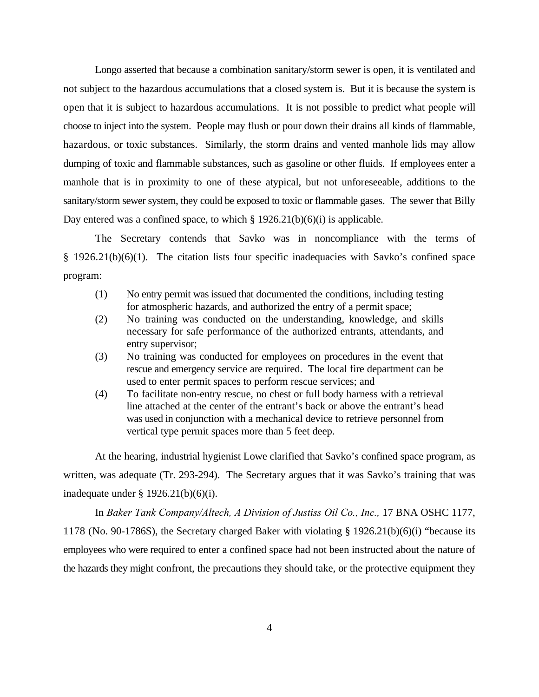Longo asserted that because a combination sanitary/storm sewer is open, it is ventilated and not subject to the hazardous accumulations that a closed system is. But it is because the system is open that it is subject to hazardous accumulations. It is not possible to predict what people will choose to inject into the system. People may flush or pour down their drains all kinds of flammable, hazardous, or toxic substances. Similarly, the storm drains and vented manhole lids may allow dumping of toxic and flammable substances, such as gasoline or other fluids. If employees enter a manhole that is in proximity to one of these atypical, but not unforeseeable, additions to the sanitary/storm sewer system, they could be exposed to toxic or flammable gases. The sewer that Billy Day entered was a confined space, to which  $\S 1926.21(b)(6)(i)$  is applicable.

The Secretary contends that Savko was in noncompliance with the terms of § 1926.21(b)(6)(1). The citation lists four specific inadequacies with Savko's confined space program:

- (1) No entry permit was issued that documented the conditions, including testing for atmospheric hazards, and authorized the entry of a permit space;
- (2) No training was conducted on the understanding, knowledge, and skills necessary for safe performance of the authorized entrants, attendants, and entry supervisor;
- (3) No training was conducted for employees on procedures in the event that rescue and emergency service are required. The local fire department can be used to enter permit spaces to perform rescue services; and
- (4) To facilitate non-entry rescue, no chest or full body harness with a retrieval line attached at the center of the entrant's back or above the entrant's head was used in conjunction with a mechanical device to retrieve personnel from vertical type permit spaces more than 5 feet deep.

At the hearing, industrial hygienist Lowe clarified that Savko's confined space program, as written, was adequate (Tr. 293-294). The Secretary argues that it was Savko's training that was inadequate under  $\S$  1926.21(b)(6)(i).

In *Baker Tank Company/Altech, A Division of Justiss Oil Co., Inc.,* 17 BNA OSHC 1177, 1178 (No. 90-1786S), the Secretary charged Baker with violating § 1926.21(b)(6)(i) "because its employees who were required to enter a confined space had not been instructed about the nature of the hazards they might confront, the precautions they should take, or the protective equipment they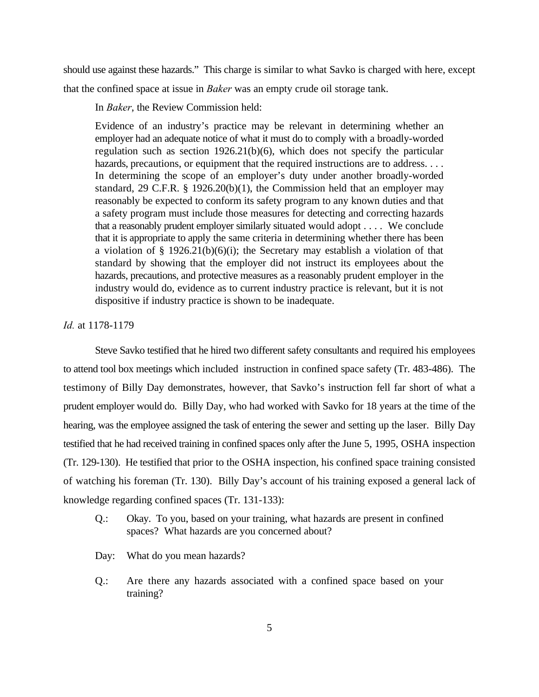should use against these hazards." This charge is similar to what Savko is charged with here, except that the confined space at issue in *Baker* was an empty crude oil storage tank.

In *Baker*, the Review Commission held:

Evidence of an industry's practice may be relevant in determining whether an employer had an adequate notice of what it must do to comply with a broadly-worded regulation such as section 1926.21(b)(6), which does not specify the particular hazards, precautions, or equipment that the required instructions are to address. . . . In determining the scope of an employer's duty under another broadly-worded standard, 29 C.F.R. § 1926.20(b)(1), the Commission held that an employer may reasonably be expected to conform its safety program to any known duties and that a safety program must include those measures for detecting and correcting hazards that a reasonably prudent employer similarly situated would adopt . . . . We conclude that it is appropriate to apply the same criteria in determining whether there has been a violation of  $\S$  1926.21(b)(6)(i); the Secretary may establish a violation of that standard by showing that the employer did not instruct its employees about the hazards, precautions, and protective measures as a reasonably prudent employer in the industry would do, evidence as to current industry practice is relevant, but it is not dispositive if industry practice is shown to be inadequate.

### *Id.* at 1178-1179

Steve Savko testified that he hired two different safety consultants and required his employees to attend tool box meetings which included instruction in confined space safety (Tr. 483-486). The testimony of Billy Day demonstrates, however, that Savko's instruction fell far short of what a prudent employer would do. Billy Day, who had worked with Savko for 18 years at the time of the hearing, was the employee assigned the task of entering the sewer and setting up the laser. Billy Day testified that he had received training in confined spaces only after the June 5, 1995, OSHA inspection (Tr. 129-130). He testified that prior to the OSHA inspection, his confined space training consisted of watching his foreman (Tr. 130). Billy Day's account of his training exposed a general lack of knowledge regarding confined spaces (Tr. 131-133):

- Q.: Okay. To you, based on your training, what hazards are present in confined spaces? What hazards are you concerned about?
- Day: What do you mean hazards?
- Q.: Are there any hazards associated with a confined space based on your training?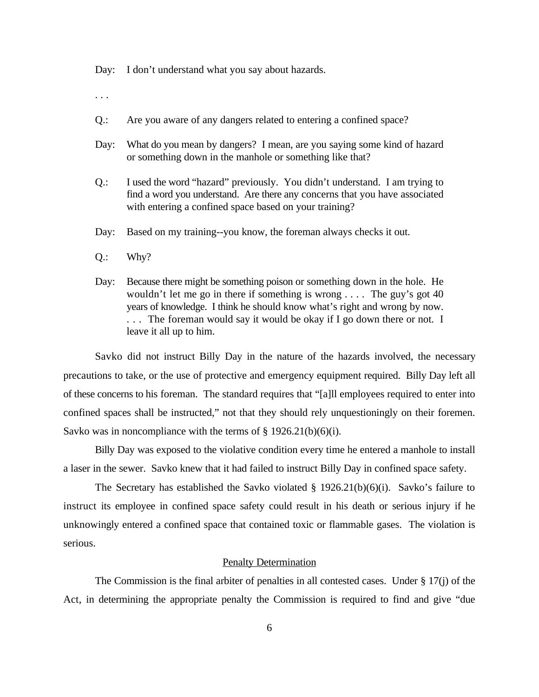Day: I don't understand what you say about hazards.

- . . .
- Q.: Are you aware of any dangers related to entering a confined space?
- Day: What do you mean by dangers? I mean, are you saying some kind of hazard or something down in the manhole or something like that?
- Q.: I used the word "hazard" previously. You didn't understand. I am trying to find a word you understand. Are there any concerns that you have associated with entering a confined space based on your training?
- Day: Based on my training--you know, the foreman always checks it out.
- Q.: Why?
- Day: Because there might be something poison or something down in the hole. He wouldn't let me go in there if something is wrong . . . . The guy's got 40 years of knowledge. I think he should know what's right and wrong by now. ... The foreman would say it would be okay if I go down there or not. I leave it all up to him.

Savko did not instruct Billy Day in the nature of the hazards involved, the necessary precautions to take, or the use of protective and emergency equipment required. Billy Day left all of these concerns to his foreman. The standard requires that "[a]ll employees required to enter into confined spaces shall be instructed," not that they should rely unquestioningly on their foremen. Savko was in noncompliance with the terms of  $\S 1926.21(b)(6)(i)$ .

Billy Day was exposed to the violative condition every time he entered a manhole to install a laser in the sewer. Savko knew that it had failed to instruct Billy Day in confined space safety.

The Secretary has established the Savko violated  $\S$  1926.21(b)(6)(i). Savko's failure to instruct its employee in confined space safety could result in his death or serious injury if he unknowingly entered a confined space that contained toxic or flammable gases. The violation is serious.

#### Penalty Determination

The Commission is the final arbiter of penalties in all contested cases. Under  $\S 17(i)$  of the Act, in determining the appropriate penalty the Commission is required to find and give "due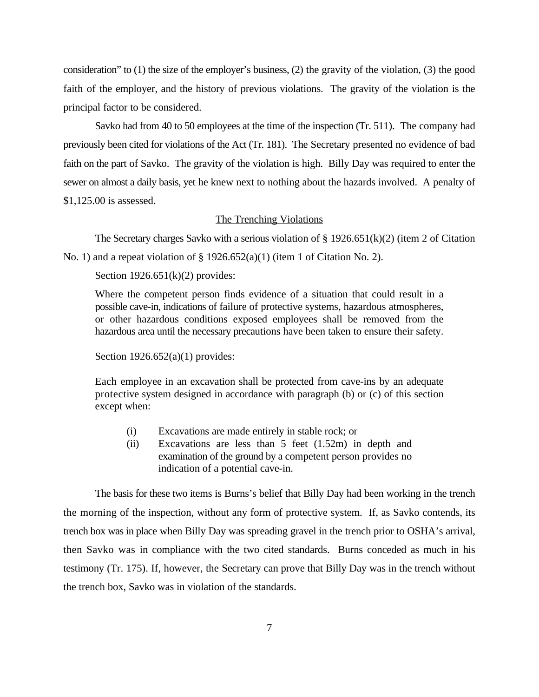consideration" to (1) the size of the employer's business, (2) the gravity of the violation, (3) the good faith of the employer, and the history of previous violations. The gravity of the violation is the principal factor to be considered.

Savko had from 40 to 50 employees at the time of the inspection (Tr. 511). The company had previously been cited for violations of the Act (Tr. 181). The Secretary presented no evidence of bad faith on the part of Savko. The gravity of the violation is high. Billy Day was required to enter the sewer on almost a daily basis, yet he knew next to nothing about the hazards involved. A penalty of \$1,125.00 is assessed.

## The Trenching Violations

The Secretary charges Savko with a serious violation of  $\S 1926.651(k)(2)$  (item 2 of Citation No. 1) and a repeat violation of  $\S$  1926.652(a)(1) (item 1 of Citation No. 2).

Section  $1926.651(k)(2)$  provides:

Where the competent person finds evidence of a situation that could result in a possible cave-in, indications of failure of protective systems, hazardous atmospheres, or other hazardous conditions exposed employees shall be removed from the hazardous area until the necessary precautions have been taken to ensure their safety.

Section  $1926.652(a)(1)$  provides:

Each employee in an excavation shall be protected from cave-ins by an adequate protective system designed in accordance with paragraph (b) or (c) of this section except when:

- (i) Excavations are made entirely in stable rock; or
- (ii) Excavations are less than 5 feet (1.52m) in depth and examination of the ground by a competent person provides no indication of a potential cave-in.

The basis for these two items is Burns's belief that Billy Day had been working in the trench the morning of the inspection, without any form of protective system. If, as Savko contends, its trench box was in place when Billy Day was spreading gravel in the trench prior to OSHA's arrival, then Savko was in compliance with the two cited standards. Burns conceded as much in his testimony (Tr. 175). If, however, the Secretary can prove that Billy Day was in the trench without the trench box, Savko was in violation of the standards.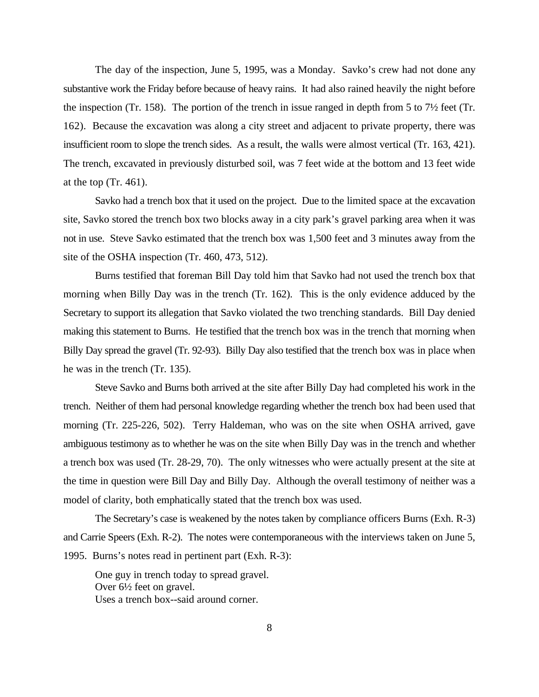The day of the inspection, June 5, 1995, was a Monday. Savko's crew had not done any substantive work the Friday before because of heavy rains. It had also rained heavily the night before the inspection (Tr. 158). The portion of the trench in issue ranged in depth from 5 to  $7\frac{1}{2}$  feet (Tr. 162). Because the excavation was along a city street and adjacent to private property, there was insufficient room to slope the trench sides. As a result, the walls were almost vertical (Tr. 163, 421). The trench, excavated in previously disturbed soil, was 7 feet wide at the bottom and 13 feet wide at the top (Tr. 461).

Savko had a trench box that it used on the project. Due to the limited space at the excavation site, Savko stored the trench box two blocks away in a city park's gravel parking area when it was not in use. Steve Savko estimated that the trench box was 1,500 feet and 3 minutes away from the site of the OSHA inspection (Tr. 460, 473, 512).

Burns testified that foreman Bill Day told him that Savko had not used the trench box that morning when Billy Day was in the trench (Tr. 162). This is the only evidence adduced by the Secretary to support its allegation that Savko violated the two trenching standards. Bill Day denied making this statement to Burns. He testified that the trench box was in the trench that morning when Billy Day spread the gravel (Tr. 92-93). Billy Day also testified that the trench box was in place when he was in the trench (Tr. 135).

Steve Savko and Burns both arrived at the site after Billy Day had completed his work in the trench. Neither of them had personal knowledge regarding whether the trench box had been used that morning (Tr. 225-226, 502). Terry Haldeman, who was on the site when OSHA arrived, gave ambiguous testimony as to whether he was on the site when Billy Day was in the trench and whether a trench box was used (Tr. 28-29, 70). The only witnesses who were actually present at the site at the time in question were Bill Day and Billy Day. Although the overall testimony of neither was a model of clarity, both emphatically stated that the trench box was used.

The Secretary's case is weakened by the notes taken by compliance officers Burns (Exh. R-3) and Carrie Speers (Exh. R-2). The notes were contemporaneous with the interviews taken on June 5, 1995. Burns's notes read in pertinent part (Exh. R-3):

One guy in trench today to spread gravel. Over 6½ feet on gravel. Uses a trench box--said around corner.